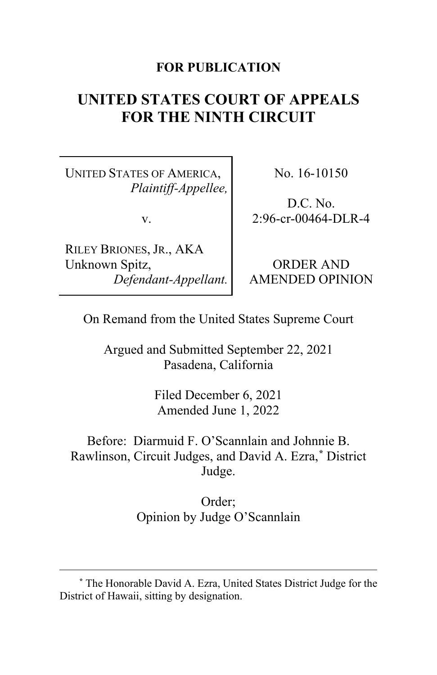# **FOR PUBLICATION**

# **UNITED STATES COURT OF APPEALS FOR THE NINTH CIRCUIT**

UNITED STATES OF AMERICA, *Plaintiff-Appellee,*

v.

RILEY BRIONES, JR., AKA Unknown Spitz, *Defendant-Appellant.* No. 16-10150

D.C. No. 2:96-cr-00464-DLR-4

ORDER AND AMENDED OPINION

On Remand from the United States Supreme Court

Argued and Submitted September 22, 2021 Pasadena, California

> Filed December 6, 2021 Amended June 1, 2022

Before: Diarmuid F. O'Scannlain and Johnnie B. Rawlinson, Circuit Judges, and David A. Ezra,**[\\*](#page-0-0)** District Judge.

> Order; Opinion by Judge O'Scannlain

<span id="page-0-0"></span>**<sup>\*</sup>** The Honorable David A. Ezra, United States District Judge for the District of Hawaii, sitting by designation.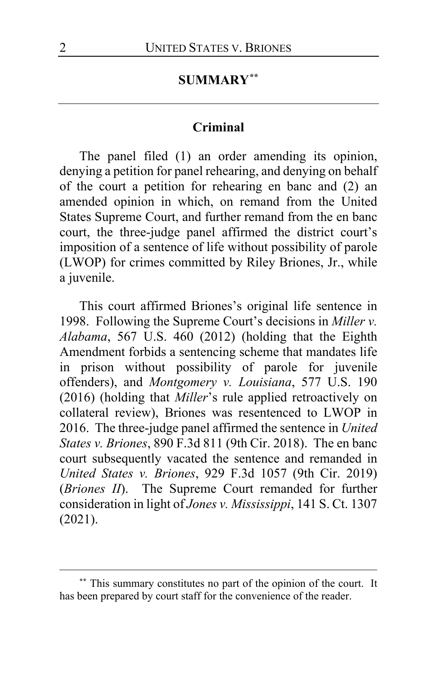# **SUMMARY[\\*\\*](#page-1-0)**

### **Criminal**

The panel filed (1) an order amending its opinion, denying a petition for panel rehearing, and denying on behalf of the court a petition for rehearing en banc and (2) an amended opinion in which, on remand from the United States Supreme Court, and further remand from the en banc court, the three-judge panel affirmed the district court's imposition of a sentence of life without possibility of parole (LWOP) for crimes committed by Riley Briones, Jr., while a juvenile.

This court affirmed Briones's original life sentence in 1998. Following the Supreme Court's decisions in *Miller v. Alabama*, 567 U.S. 460 (2012) (holding that the Eighth Amendment forbids a sentencing scheme that mandates life in prison without possibility of parole for juvenile offenders), and *Montgomery v. Louisiana*, 577 U.S. 190 (2016) (holding that *Miller*'s rule applied retroactively on collateral review), Briones was resentenced to LWOP in 2016. The three-judge panel affirmed the sentence in *United States v. Briones*, 890 F.3d 811 (9th Cir. 2018). The en banc court subsequently vacated the sentence and remanded in *United States v. Briones*, 929 F.3d 1057 (9th Cir. 2019) (*Briones II*). The Supreme Court remanded for further consideration in light of *Jones v. Mississippi*, 141 S. Ct. 1307 (2021).

<span id="page-1-0"></span>**<sup>\*\*</sup>** This summary constitutes no part of the opinion of the court. It has been prepared by court staff for the convenience of the reader.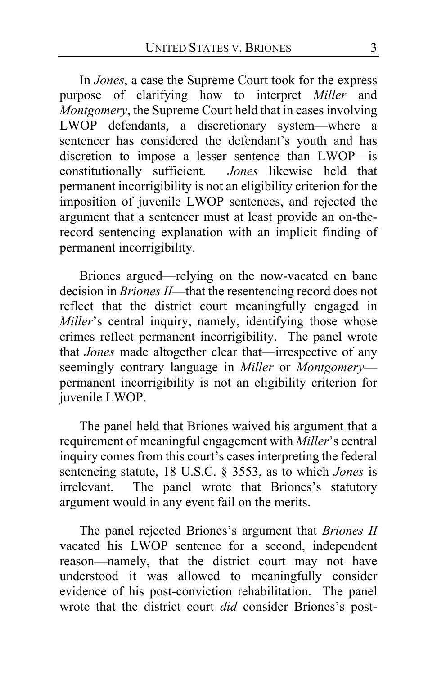In *Jones*, a case the Supreme Court took for the express purpose of clarifying how to interpret *Miller* and *Montgomery*, the Supreme Court held that in cases involving LWOP defendants, a discretionary system—where a sentencer has considered the defendant's youth and has discretion to impose a lesser sentence than LWOP—is constitutionally sufficient. *Jones* likewise held that permanent incorrigibility is not an eligibility criterion for the imposition of juvenile LWOP sentences, and rejected the argument that a sentencer must at least provide an on-therecord sentencing explanation with an implicit finding of permanent incorrigibility.

Briones argued—relying on the now-vacated en banc decision in *Briones II*—that the resentencing record does not reflect that the district court meaningfully engaged in *Miller's* central inquiry, namely, identifying those whose crimes reflect permanent incorrigibility. The panel wrote that *Jones* made altogether clear that—irrespective of any seemingly contrary language in *Miller* or *Montgomery* permanent incorrigibility is not an eligibility criterion for juvenile LWOP.

The panel held that Briones waived his argument that a requirement of meaningful engagement with *Miller*'s central inquiry comes from this court's cases interpreting the federal sentencing statute, 18 U.S.C. § 3553, as to which *Jones* is irrelevant. The panel wrote that Briones's statutory argument would in any event fail on the merits.

The panel rejected Briones's argument that *Briones II* vacated his LWOP sentence for a second, independent reason—namely, that the district court may not have understood it was allowed to meaningfully consider evidence of his post-conviction rehabilitation. The panel wrote that the district court *did* consider Briones's post-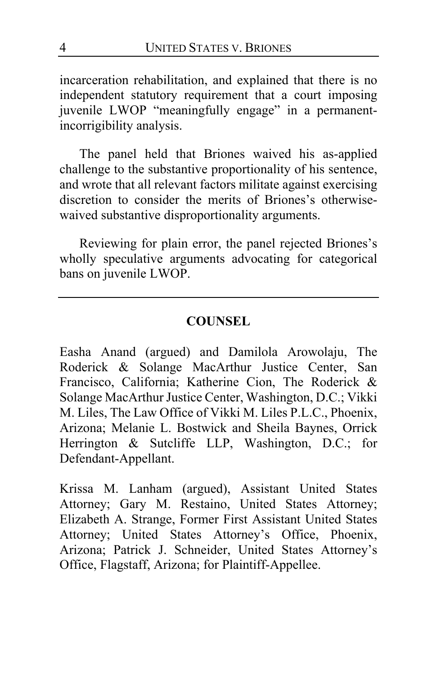incarceration rehabilitation, and explained that there is no independent statutory requirement that a court imposing juvenile LWOP "meaningfully engage" in a permanentincorrigibility analysis.

The panel held that Briones waived his as-applied challenge to the substantive proportionality of his sentence, and wrote that all relevant factors militate against exercising discretion to consider the merits of Briones's otherwisewaived substantive disproportionality arguments.

Reviewing for plain error, the panel rejected Briones's wholly speculative arguments advocating for categorical bans on juvenile LWOP.

## **COUNSEL**

Easha Anand (argued) and Damilola Arowolaju, The Roderick & Solange MacArthur Justice Center, San Francisco, California; Katherine Cion, The Roderick & Solange MacArthur Justice Center, Washington, D.C.; Vikki M. Liles, The Law Office of Vikki M. Liles P.L.C., Phoenix, Arizona; Melanie L. Bostwick and Sheila Baynes, Orrick Herrington & Sutcliffe LLP, Washington, D.C.; for Defendant-Appellant.

Krissa M. Lanham (argued), Assistant United States Attorney; Gary M. Restaino, United States Attorney; Elizabeth A. Strange, Former First Assistant United States Attorney; United States Attorney's Office, Phoenix, Arizona; Patrick J. Schneider, United States Attorney's Office, Flagstaff, Arizona; for Plaintiff-Appellee.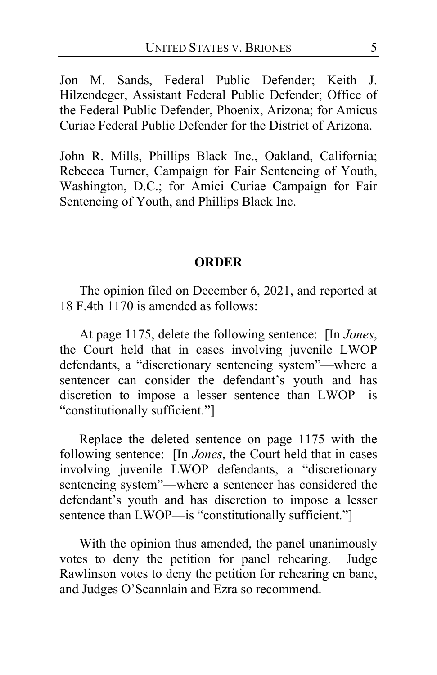Jon M. Sands, Federal Public Defender; Keith J. Hilzendeger, Assistant Federal Public Defender; Office of the Federal Public Defender, Phoenix, Arizona; for Amicus Curiae Federal Public Defender for the District of Arizona.

John R. Mills, Phillips Black Inc., Oakland, California; Rebecca Turner, Campaign for Fair Sentencing of Youth, Washington, D.C.; for Amici Curiae Campaign for Fair Sentencing of Youth, and Phillips Black Inc.

### **ORDER**

The opinion filed on December 6, 2021, and reported at 18 F.4th 1170 is amended as follows:

At page 1175, delete the following sentence: [In *Jones*, the Court held that in cases involving juvenile LWOP defendants, a "discretionary sentencing system"—where a sentencer can consider the defendant's youth and has discretion to impose a lesser sentence than LWOP—is "constitutionally sufficient."]

Replace the deleted sentence on page 1175 with the following sentence: [In *Jones*, the Court held that in cases involving juvenile LWOP defendants, a "discretionary sentencing system"—where a sentencer has considered the defendant's youth and has discretion to impose a lesser sentence than LWOP—is "constitutionally sufficient."]

With the opinion thus amended, the panel unanimously votes to deny the petition for panel rehearing. Judge Rawlinson votes to deny the petition for rehearing en banc, and Judges O'Scannlain and Ezra so recommend.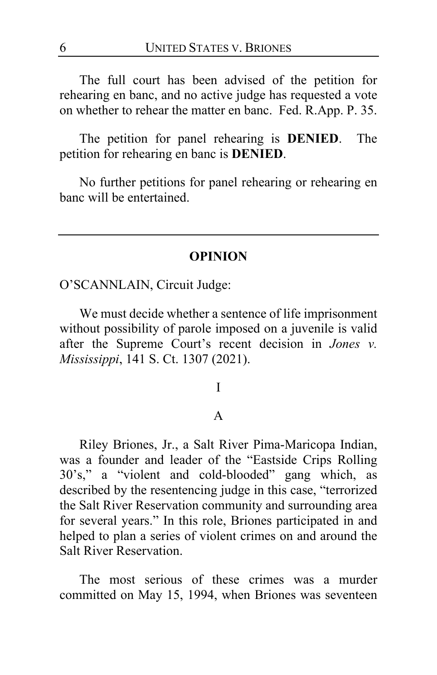The full court has been advised of the petition for rehearing en banc, and no active judge has requested a vote on whether to rehear the matter en banc. Fed. R.App. P. 35.

The petition for panel rehearing is **DENIED**. The petition for rehearing en banc is **DENIED**.

No further petitions for panel rehearing or rehearing en banc will be entertained.

#### **OPINION**

O'SCANNLAIN, Circuit Judge:

We must decide whether a sentence of life imprisonment without possibility of parole imposed on a juvenile is valid after the Supreme Court's recent decision in *Jones v. Mississippi*, 141 S. Ct. 1307 (2021).

#### I

#### A

Riley Briones, Jr., a Salt River Pima-Maricopa Indian, was a founder and leader of the "Eastside Crips Rolling 30's," a "violent and cold-blooded" gang which, as described by the resentencing judge in this case, "terrorized the Salt River Reservation community and surrounding area for several years." In this role, Briones participated in and helped to plan a series of violent crimes on and around the Salt River Reservation.

The most serious of these crimes was a murder committed on May 15, 1994, when Briones was seventeen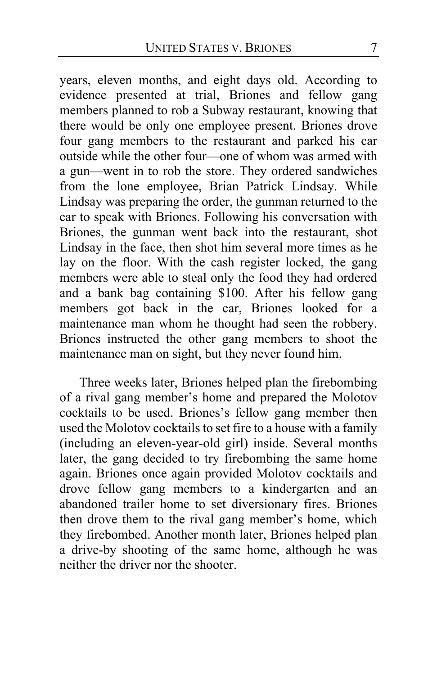years, eleven months, and eight days old. According to evidence presented at trial, Briones and fellow gang members planned to rob a Subway restaurant, knowing that there would be only one employee present. Briones drove four gang members to the restaurant and parked his car outside while the other four—one of whom was armed with a gun—went in to rob the store. They ordered sandwiches from the lone employee, Brian Patrick Lindsay. While Lindsay was preparing the order, the gunman returned to the car to speak with Briones. Following his conversation with Briones, the gunman went back into the restaurant, shot Lindsay in the face, then shot him several more times as he lay on the floor. With the cash register locked, the gang members were able to steal only the food they had ordered and a bank bag containing \$100. After his fellow gang members got back in the car, Briones looked for a maintenance man whom he thought had seen the robbery. Briones instructed the other gang members to shoot the maintenance man on sight, but they never found him.

Three weeks later, Briones helped plan the firebombing of a rival gang member's home and prepared the Molotov cocktails to be used. Briones's fellow gang member then used the Molotov cocktails to set fire to a house with a family (including an eleven-year-old girl) inside. Several months later, the gang decided to try firebombing the same home again. Briones once again provided Molotov cocktails and drove fellow gang members to a kindergarten and an abandoned trailer home to set diversionary fires. Briones then drove them to the rival gang member's home, which they firebombed. Another month later, Briones helped plan a drive-by shooting of the same home, although he was neither the driver nor the shooter.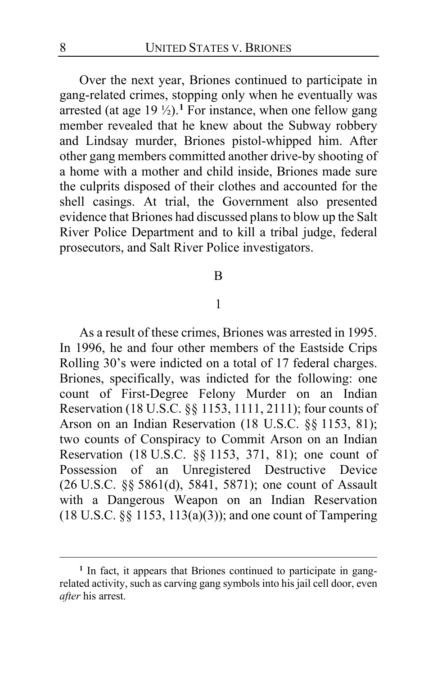Over the next year, Briones continued to participate in gang-related crimes, stopping only when he eventually was arrested (at age  $19\frac{1}{2}$  $19\frac{1}{2}$ ).<sup>1</sup> For instance, when one fellow gang member revealed that he knew about the Subway robbery and Lindsay murder, Briones pistol-whipped him. After other gang members committed another drive-by shooting of a home with a mother and child inside, Briones made sure the culprits disposed of their clothes and accounted for the shell casings. At trial, the Government also presented evidence that Briones had discussed plans to blow up the Salt River Police Department and to kill a tribal judge, federal prosecutors, and Salt River Police investigators.

#### B

#### 1

As a result of these crimes, Briones was arrested in 1995. In 1996, he and four other members of the Eastside Crips Rolling 30's were indicted on a total of 17 federal charges. Briones, specifically, was indicted for the following: one count of First-Degree Felony Murder on an Indian Reservation (18 U.S.C. §§ 1153, 1111, 2111); four counts of Arson on an Indian Reservation (18 U.S.C. §§ 1153, 81); two counts of Conspiracy to Commit Arson on an Indian Reservation (18 U.S.C. §§ 1153, 371, 81); one count of Possession of an Unregistered Destructive Device (26 U.S.C. §§ 5861(d), 5841, 5871); one count of Assault with a Dangerous Weapon on an Indian Reservation (18 U.S.C. §§ 1153, 113(a)(3)); and one count of Tampering

<span id="page-7-0"></span><sup>&</sup>lt;sup>1</sup> In fact, it appears that Briones continued to participate in gangrelated activity, such as carving gang symbols into his jail cell door, even *after* his arrest.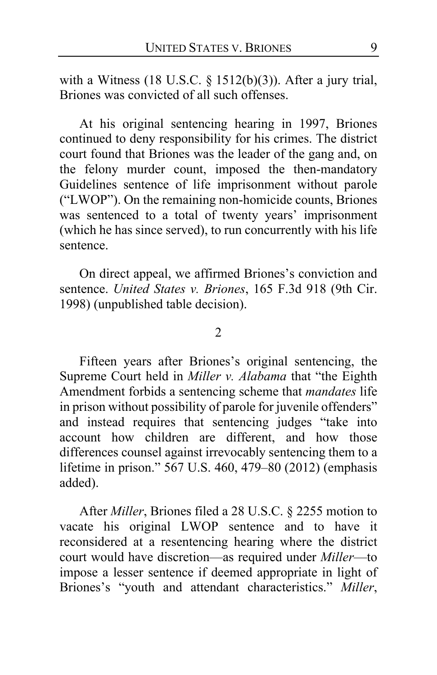with a Witness (18 U.S.C. § 1512(b)(3)). After a jury trial, Briones was convicted of all such offenses.

At his original sentencing hearing in 1997, Briones continued to deny responsibility for his crimes. The district court found that Briones was the leader of the gang and, on the felony murder count, imposed the then-mandatory Guidelines sentence of life imprisonment without parole ("LWOP"). On the remaining non-homicide counts, Briones was sentenced to a total of twenty years' imprisonment (which he has since served), to run concurrently with his life sentence.

On direct appeal, we affirmed Briones's conviction and sentence. *United States v. Briones*, 165 F.3d 918 (9th Cir. 1998) (unpublished table decision).

 $\mathfrak{D}$ 

Fifteen years after Briones's original sentencing, the Supreme Court held in *Miller v. Alabama* that "the Eighth Amendment forbids a sentencing scheme that *mandates* life in prison without possibility of parole for juvenile offenders" and instead requires that sentencing judges "take into account how children are different, and how those differences counsel against irrevocably sentencing them to a lifetime in prison." 567 U.S. 460, 479–80 (2012) (emphasis added).

After *Miller*, Briones filed a 28 U.S.C. § 2255 motion to vacate his original LWOP sentence and to have it reconsidered at a resentencing hearing where the district court would have discretion—as required under *Miller*—to impose a lesser sentence if deemed appropriate in light of Briones's "youth and attendant characteristics." *Miller*,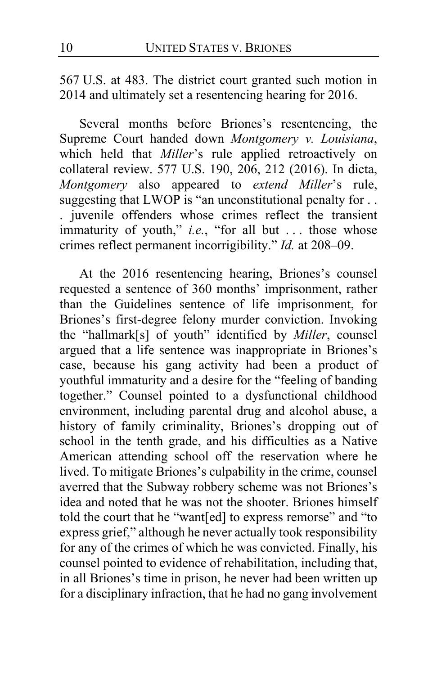567 U.S. at 483. The district court granted such motion in 2014 and ultimately set a resentencing hearing for 2016.

Several months before Briones's resentencing, the Supreme Court handed down *Montgomery v. Louisiana*, which held that *Miller*'s rule applied retroactively on collateral review. 577 U.S. 190, 206, 212 (2016). In dicta, *Montgomery* also appeared to *extend Miller*'s rule, suggesting that LWOP is "an unconstitutional penalty for . . . juvenile offenders whose crimes reflect the transient immaturity of youth," *i.e.*, "for all but . . . those whose crimes reflect permanent incorrigibility." *Id.* at 208–09.

At the 2016 resentencing hearing, Briones's counsel requested a sentence of 360 months' imprisonment, rather than the Guidelines sentence of life imprisonment, for Briones's first-degree felony murder conviction. Invoking the "hallmark[s] of youth" identified by *Miller*, counsel argued that a life sentence was inappropriate in Briones's case, because his gang activity had been a product of youthful immaturity and a desire for the "feeling of banding together." Counsel pointed to a dysfunctional childhood environment, including parental drug and alcohol abuse, a history of family criminality, Briones's dropping out of school in the tenth grade, and his difficulties as a Native American attending school off the reservation where he lived. To mitigate Briones's culpability in the crime, counsel averred that the Subway robbery scheme was not Briones's idea and noted that he was not the shooter. Briones himself told the court that he "want[ed] to express remorse" and "to express grief," although he never actually took responsibility for any of the crimes of which he was convicted. Finally, his counsel pointed to evidence of rehabilitation, including that, in all Briones's time in prison, he never had been written up for a disciplinary infraction, that he had no gang involvement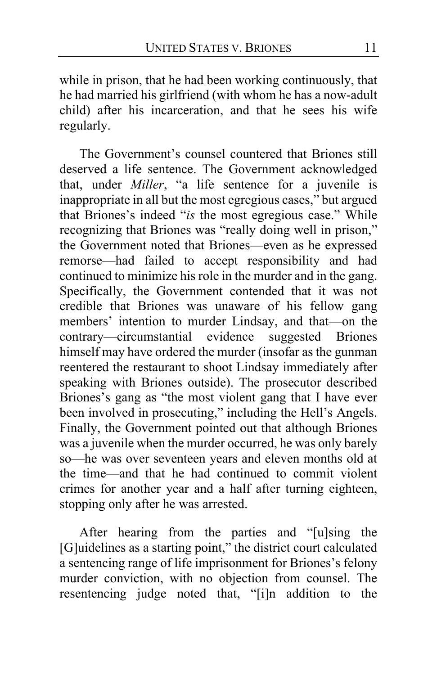while in prison, that he had been working continuously, that he had married his girlfriend (with whom he has a now-adult child) after his incarceration, and that he sees his wife regularly.

The Government's counsel countered that Briones still deserved a life sentence. The Government acknowledged that, under *Miller*, "a life sentence for a juvenile is inappropriate in all but the most egregious cases," but argued that Briones's indeed "*is* the most egregious case." While recognizing that Briones was "really doing well in prison," the Government noted that Briones—even as he expressed remorse—had failed to accept responsibility and had continued to minimize his role in the murder and in the gang. Specifically, the Government contended that it was not credible that Briones was unaware of his fellow gang members' intention to murder Lindsay, and that—on the contrary—circumstantial evidence suggested Briones himself may have ordered the murder (insofar as the gunman reentered the restaurant to shoot Lindsay immediately after speaking with Briones outside). The prosecutor described Briones's gang as "the most violent gang that I have ever been involved in prosecuting," including the Hell's Angels. Finally, the Government pointed out that although Briones was a juvenile when the murder occurred, he was only barely so—he was over seventeen years and eleven months old at the time—and that he had continued to commit violent crimes for another year and a half after turning eighteen, stopping only after he was arrested.

After hearing from the parties and "[u]sing the [G]uidelines as a starting point," the district court calculated a sentencing range of life imprisonment for Briones's felony murder conviction, with no objection from counsel. The resentencing judge noted that, "[i]n addition to the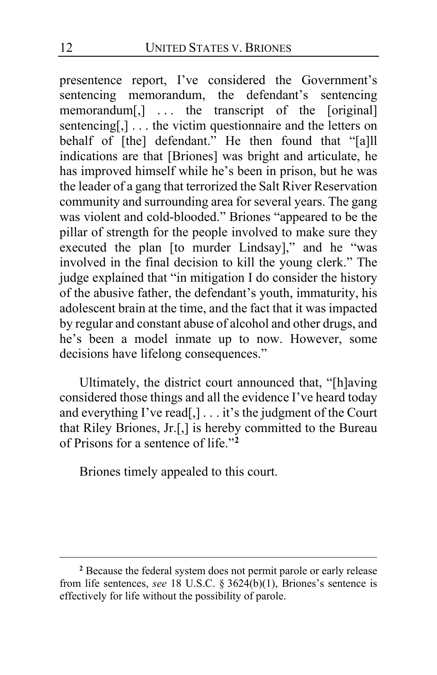presentence report, I've considered the Government's sentencing memorandum, the defendant's sentencing memorandum[,] ... the transcript of the [original] sentencing[,]... the victim questionnaire and the letters on behalf of [the] defendant." He then found that "[a]ll indications are that [Briones] was bright and articulate, he has improved himself while he's been in prison, but he was the leader of a gang that terrorized the Salt River Reservation community and surrounding area for several years. The gang was violent and cold-blooded." Briones "appeared to be the pillar of strength for the people involved to make sure they executed the plan [to murder Lindsay]," and he "was involved in the final decision to kill the young clerk." The judge explained that "in mitigation I do consider the history of the abusive father, the defendant's youth, immaturity, his adolescent brain at the time, and the fact that it was impacted by regular and constant abuse of alcohol and other drugs, and he's been a model inmate up to now. However, some decisions have lifelong consequences."

Ultimately, the district court announced that, "[h]aving considered those things and all the evidence I've heard today and everything I've read[,] . . . it's the judgment of the Court that Riley Briones, Jr.[,] is hereby committed to the Bureau of Prisons for a sentence of life."**[2](#page-11-0)**

Briones timely appealed to this court.

<span id="page-11-0"></span>**<sup>2</sup>** Because the federal system does not permit parole or early release from life sentences, *see* 18 U.S.C. § 3624(b)(1), Briones's sentence is effectively for life without the possibility of parole.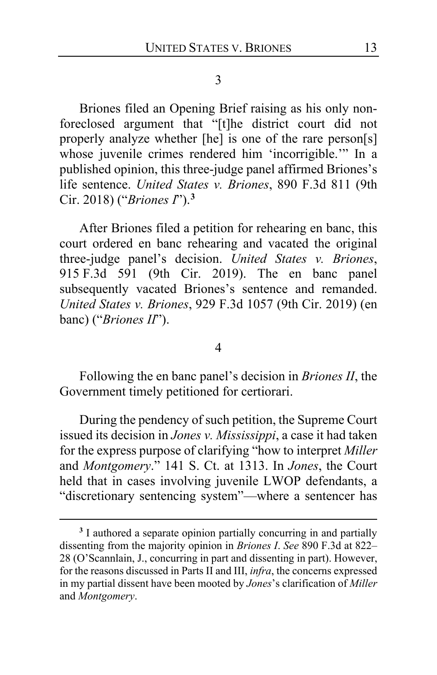3

Briones filed an Opening Brief raising as his only nonforeclosed argument that "[t]he district court did not properly analyze whether [he] is one of the rare person[s] whose juvenile crimes rendered him 'incorrigible.'" In a published opinion, this three-judge panel affirmed Briones's life sentence. *United States v. Briones*, 890 F.3d 811 (9th Cir. 2018) ("*Briones I*").**[3](#page-12-0)**

After Briones filed a petition for rehearing en banc, this court ordered en banc rehearing and vacated the original three-judge panel's decision. *United States v. Briones*, 915 F.3d 591 (9th Cir. 2019). The en banc panel subsequently vacated Briones's sentence and remanded. *United States v. Briones*, 929 F.3d 1057 (9th Cir. 2019) (en banc) ("*Briones II*").

#### 4

Following the en banc panel's decision in *Briones II*, the Government timely petitioned for certiorari.

During the pendency of such petition, the Supreme Court issued its decision in *Jones v. Mississippi*, a case it had taken for the express purpose of clarifying "how to interpret *Miller*  and *Montgomery*." 141 S. Ct. at 1313. In *Jones*, the Court held that in cases involving juvenile LWOP defendants, a "discretionary sentencing system"—where a sentencer has

<span id="page-12-0"></span>**<sup>3</sup>** I authored a separate opinion partially concurring in and partially dissenting from the majority opinion in *Briones I*. *See* 890 F.3d at 822– 28 (O'Scannlain, J., concurring in part and dissenting in part). However, for the reasons discussed in Parts II and III, *infra*, the concerns expressed in my partial dissent have been mooted by *Jones*'s clarification of *Miller*  and *Montgomery*.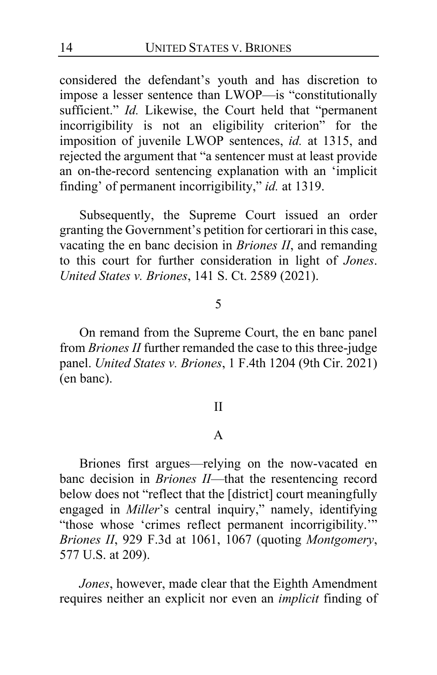considered the defendant's youth and has discretion to impose a lesser sentence than LWOP—is "constitutionally sufficient." *Id.* Likewise, the Court held that "permanent incorrigibility is not an eligibility criterion" for the imposition of juvenile LWOP sentences, *id.* at 1315, and rejected the argument that "a sentencer must at least provide an on-the-record sentencing explanation with an 'implicit finding' of permanent incorrigibility," *id.* at 1319.

Subsequently, the Supreme Court issued an order granting the Government's petition for certiorari in this case, vacating the en banc decision in *Briones II*, and remanding to this court for further consideration in light of *Jones*. *United States v. Briones*, 141 S. Ct. 2589 (2021).

### 5

On remand from the Supreme Court, the en banc panel from *Briones II* further remanded the case to this three-judge panel. *United States v. Briones*, 1 F.4th 1204 (9th Cir. 2021) (en banc).

#### II

### A

Briones first argues—relying on the now-vacated en banc decision in *Briones II*—that the resentencing record below does not "reflect that the [district] court meaningfully engaged in *Miller*'s central inquiry," namely, identifying "those whose 'crimes reflect permanent incorrigibility.'" *Briones II*, 929 F.3d at 1061, 1067 (quoting *Montgomery*, 577 U.S. at 209).

*Jones*, however, made clear that the Eighth Amendment requires neither an explicit nor even an *implicit* finding of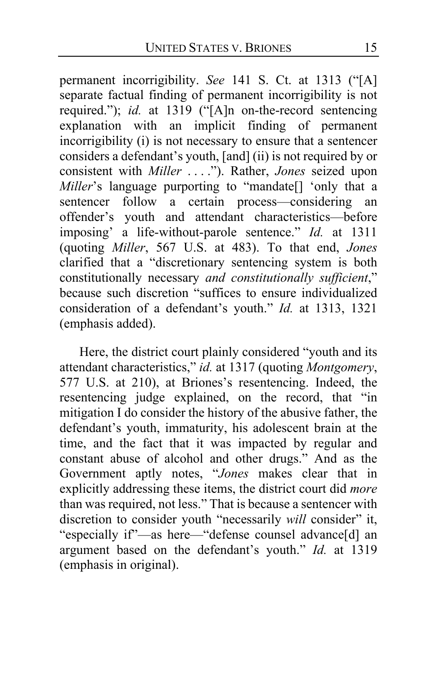permanent incorrigibility. *See* 141 S. Ct. at 1313 ("[A] separate factual finding of permanent incorrigibility is not required."); *id.* at 1319 ("[A]n on-the-record sentencing explanation with an implicit finding of permanent incorrigibility (i) is not necessary to ensure that a sentencer considers a defendant's youth, [and] (ii) is not required by or consistent with *Miller* . . . ."). Rather, *Jones* seized upon *Miller*'s language purporting to "mandate[] 'only that a sentencer follow a certain process—considering an offender's youth and attendant characteristics—before imposing' a life-without-parole sentence." *Id.* at 1311 (quoting *Miller*, 567 U.S. at 483). To that end, *Jones* clarified that a "discretionary sentencing system is both constitutionally necessary *and constitutionally sufficient*," because such discretion "suffices to ensure individualized consideration of a defendant's youth." *Id.* at 1313, 1321 (emphasis added).

Here, the district court plainly considered "youth and its attendant characteristics," *id.* at 1317 (quoting *Montgomery*, 577 U.S. at 210), at Briones's resentencing. Indeed, the resentencing judge explained, on the record, that "in mitigation I do consider the history of the abusive father, the defendant's youth, immaturity, his adolescent brain at the time, and the fact that it was impacted by regular and constant abuse of alcohol and other drugs." And as the Government aptly notes, "*Jones* makes clear that in explicitly addressing these items, the district court did *more* than was required, not less." That is because a sentencer with discretion to consider youth "necessarily *will* consider" it, "especially if"—as here—"defense counsel advance[d] an argument based on the defendant's youth." *Id.* at 1319 (emphasis in original).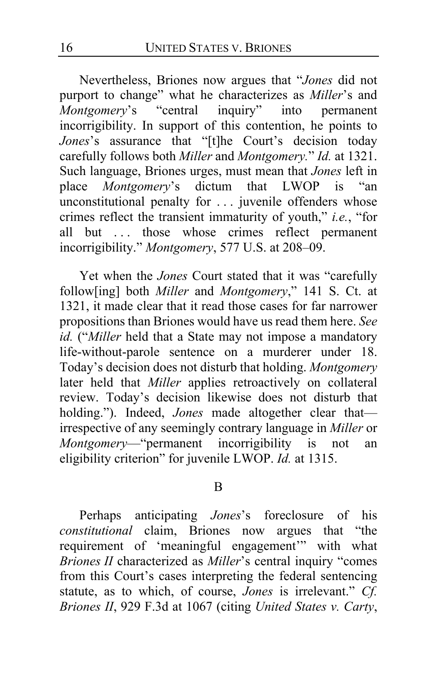Nevertheless, Briones now argues that "*Jones* did not purport to change" what he characterizes as *Miller*'s and *Montgomery*'s "central inquiry" into permanent incorrigibility. In support of this contention, he points to *Jones*'s assurance that "[t]he Court's decision today carefully follows both *Miller* and *Montgomery.*" *Id.* at 1321. Such language, Briones urges, must mean that *Jones* left in place *Montgomery*'s dictum that LWOP is "an unconstitutional penalty for . . . juvenile offenders whose crimes reflect the transient immaturity of youth," *i.e.*, "for all but ... those whose crimes reflect permanent incorrigibility." *Montgomery*, 577 U.S. at 208–09.

Yet when the *Jones* Court stated that it was "carefully follow[ing] both *Miller* and *Montgomery*," 141 S. Ct. at 1321, it made clear that it read those cases for far narrower propositions than Briones would have us read them here. *See id.* ("*Miller* held that a State may not impose a mandatory life-without-parole sentence on a murderer under 18. Today's decision does not disturb that holding. *Montgomery*  later held that *Miller* applies retroactively on collateral review. Today's decision likewise does not disturb that holding."). Indeed, *Jones* made altogether clear thatirrespective of any seemingly contrary language in *Miller* or *Montgomery*—"permanent incorrigibility is not an eligibility criterion" for juvenile LWOP. *Id.* at 1315.

#### B

Perhaps anticipating *Jones*'s foreclosure of his *constitutional* claim, Briones now argues that "the requirement of 'meaningful engagement'" with what *Briones II* characterized as *Miller*'s central inquiry "comes from this Court's cases interpreting the federal sentencing statute, as to which, of course, *Jones* is irrelevant." *Cf. Briones II*, 929 F.3d at 1067 (citing *United States v. Carty*,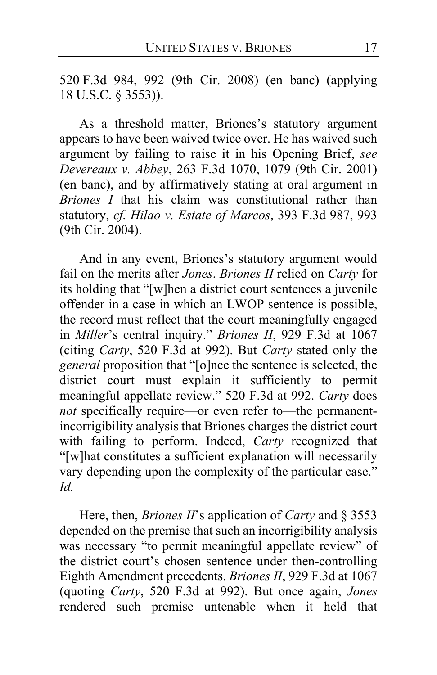520 F.3d 984, 992 (9th Cir. 2008) (en banc) (applying 18 U.S.C. § 3553)).

As a threshold matter, Briones's statutory argument appears to have been waived twice over. He has waived such argument by failing to raise it in his Opening Brief, *see Devereaux v. Abbey*, 263 F.3d 1070, 1079 (9th Cir. 2001) (en banc), and by affirmatively stating at oral argument in *Briones I* that his claim was constitutional rather than statutory, *cf. Hilao v. Estate of Marcos*, 393 F.3d 987, 993 (9th Cir. 2004).

And in any event, Briones's statutory argument would fail on the merits after *Jones*. *Briones II* relied on *Carty* for its holding that "[w]hen a district court sentences a juvenile offender in a case in which an LWOP sentence is possible, the record must reflect that the court meaningfully engaged in *Miller*'s central inquiry." *Briones II*, 929 F.3d at 1067 (citing *Carty*, 520 F.3d at 992). But *Carty* stated only the *general* proposition that "[o]nce the sentence is selected, the district court must explain it sufficiently to permit meaningful appellate review." 520 F.3d at 992. *Carty* does *not* specifically require—or even refer to—the permanentincorrigibility analysis that Briones charges the district court with failing to perform. Indeed, *Carty* recognized that "[w]hat constitutes a sufficient explanation will necessarily vary depending upon the complexity of the particular case." *Id.*

Here, then, *Briones II*'s application of *Carty* and § 3553 depended on the premise that such an incorrigibility analysis was necessary "to permit meaningful appellate review" of the district court's chosen sentence under then-controlling Eighth Amendment precedents. *Briones II*, 929 F.3d at 1067 (quoting *Carty*, 520 F.3d at 992). But once again, *Jones*  rendered such premise untenable when it held that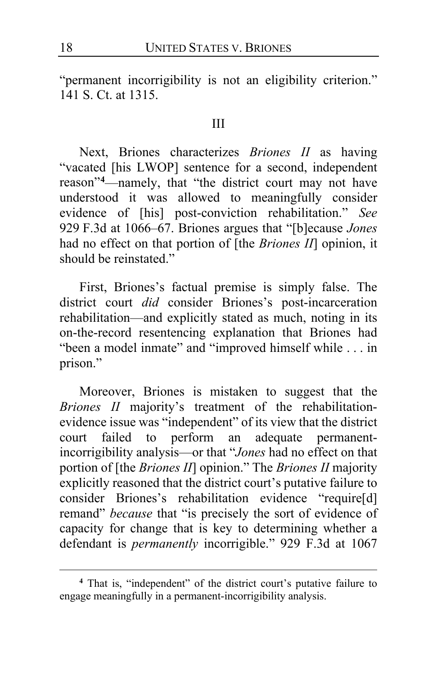"permanent incorrigibility is not an eligibility criterion." 141 S. Ct. at 1315.

#### III

Next, Briones characterizes *Briones II* as having "vacated [his LWOP] sentence for a second, independent reason"**[4](#page-17-0)** —namely, that "the district court may not have understood it was allowed to meaningfully consider evidence of [his] post-conviction rehabilitation." *See* 929 F.3d at 1066–67. Briones argues that "[b]ecause *Jones*  had no effect on that portion of [the *Briones II*] opinion, it should be reinstated."

First, Briones's factual premise is simply false. The district court *did* consider Briones's post-incarceration rehabilitation—and explicitly stated as much, noting in its on-the-record resentencing explanation that Briones had "been a model inmate" and "improved himself while . . . in prison."

Moreover, Briones is mistaken to suggest that the *Briones II* majority's treatment of the rehabilitationevidence issue was "independent" of its view that the district court failed to perform an adequate permanentincorrigibility analysis—or that "*Jones* had no effect on that portion of [the *Briones II*] opinion." The *Briones II* majority explicitly reasoned that the district court's putative failure to consider Briones's rehabilitation evidence "require[d] remand" *because* that "is precisely the sort of evidence of capacity for change that is key to determining whether a defendant is *permanently* incorrigible." 929 F.3d at 1067

<span id="page-17-0"></span>**<sup>4</sup>** That is, "independent" of the district court's putative failure to engage meaningfully in a permanent-incorrigibility analysis.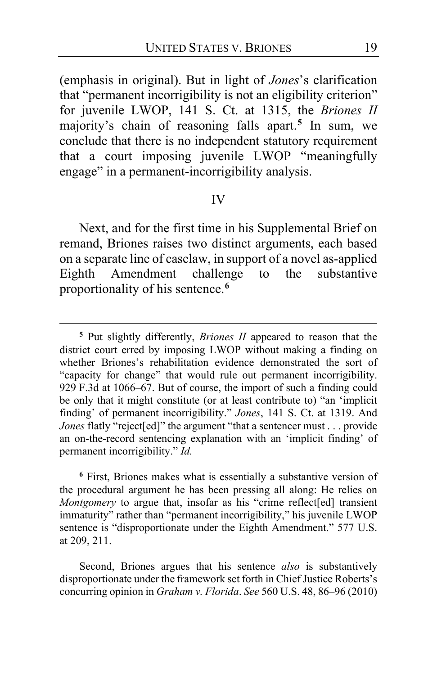(emphasis in original). But in light of *Jones*'s clarification that "permanent incorrigibility is not an eligibility criterion" for juvenile LWOP, 141 S. Ct. at 1315, the *Briones II* majority's chain of reasoning falls apart.**[5](#page-18-0)** In sum, we conclude that there is no independent statutory requirement that a court imposing juvenile LWOP "meaningfully engage" in a permanent-incorrigibility analysis.

#### IV

Next, and for the first time in his Supplemental Brief on remand, Briones raises two distinct arguments, each based on a separate line of caselaw, in support of a novel as-applied Eighth Amendment challenge to the substantive proportionality of his sentence.**[6](#page-18-1)**

<span id="page-18-1"></span>**<sup>6</sup>** First, Briones makes what is essentially a substantive version of the procedural argument he has been pressing all along: He relies on *Montgomery* to argue that, insofar as his "crime reflect[ed] transient immaturity" rather than "permanent incorrigibility," his juvenile LWOP sentence is "disproportionate under the Eighth Amendment." 577 U.S. at 209, 211.

Second, Briones argues that his sentence *also* is substantively disproportionate under the framework set forth in Chief Justice Roberts's concurring opinion in *Graham v. Florida*. *See* 560 U.S. 48, 86–96 (2010)

<span id="page-18-0"></span>**<sup>5</sup>** Put slightly differently, *Briones II* appeared to reason that the district court erred by imposing LWOP without making a finding on whether Briones's rehabilitation evidence demonstrated the sort of "capacity for change" that would rule out permanent incorrigibility. 929 F.3d at 1066–67. But of course, the import of such a finding could be only that it might constitute (or at least contribute to) "an 'implicit finding' of permanent incorrigibility." *Jones*, 141 S. Ct. at 1319. And *Jones* flatly "reject[ed]" the argument "that a sentencer must . . . provide an on-the-record sentencing explanation with an 'implicit finding' of permanent incorrigibility." *Id.*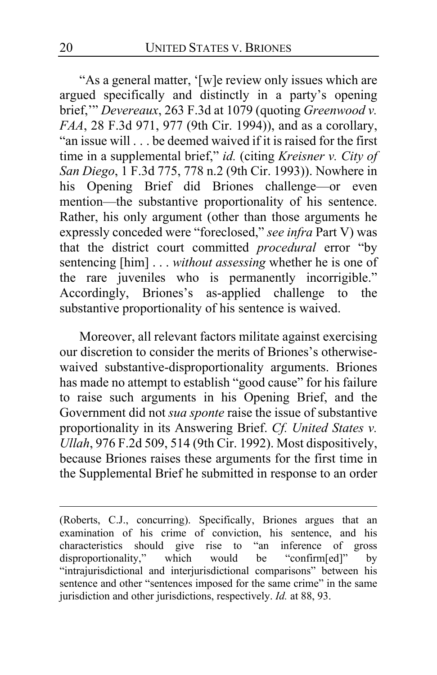"As a general matter, '[w]e review only issues which are argued specifically and distinctly in a party's opening brief,'" *Devereaux*, 263 F.3d at 1079 (quoting *Greenwood v. FAA*, 28 F.3d 971, 977 (9th Cir. 1994)), and as a corollary, "an issue will . . . be deemed waived if it is raised for the first time in a supplemental brief," *id.* (citing *Kreisner v. City of San Diego*, 1 F.3d 775, 778 n.2 (9th Cir. 1993)). Nowhere in his Opening Brief did Briones challenge—or even mention—the substantive proportionality of his sentence. Rather, his only argument (other than those arguments he expressly conceded were "foreclosed," *see infra* Part V) was that the district court committed *procedural* error "by sentencing [him] . . . *without assessing* whether he is one of the rare juveniles who is permanently incorrigible." Accordingly, Briones's as-applied challenge to the substantive proportionality of his sentence is waived.

Moreover, all relevant factors militate against exercising our discretion to consider the merits of Briones's otherwisewaived substantive-disproportionality arguments. Briones has made no attempt to establish "good cause" for his failure to raise such arguments in his Opening Brief, and the Government did not *sua sponte* raise the issue of substantive proportionality in its Answering Brief. *Cf. United States v. Ullah*, 976 F.2d 509, 514 (9th Cir. 1992). Most dispositively, because Briones raises these arguments for the first time in the Supplemental Brief he submitted in response to an order

<sup>(</sup>Roberts, C.J., concurring). Specifically, Briones argues that an examination of his crime of conviction, his sentence, and his characteristics should give rise to "an inference of gross disproportionality," which would be "confirm[ed]" by disproportionality," which would be "confirm[ed]" by "intrajurisdictional and interjurisdictional comparisons" between his sentence and other "sentences imposed for the same crime" in the same jurisdiction and other jurisdictions, respectively. *Id.* at 88, 93.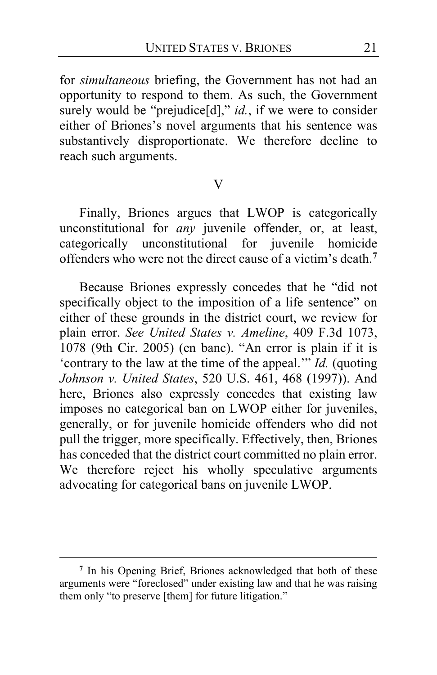for *simultaneous* briefing, the Government has not had an opportunity to respond to them. As such, the Government surely would be "prejudice[d]," *id.*, if we were to consider either of Briones's novel arguments that his sentence was substantively disproportionate. We therefore decline to reach such arguments.

#### V

Finally, Briones argues that LWOP is categorically unconstitutional for *any* juvenile offender, or, at least, categorically unconstitutional for juvenile homicide offenders who were not the direct cause of a victim's death.**[7](#page-20-0)**

Because Briones expressly concedes that he "did not specifically object to the imposition of a life sentence" on either of these grounds in the district court, we review for plain error. *See United States v. Ameline*, 409 F.3d 1073, 1078 (9th Cir. 2005) (en banc). "An error is plain if it is 'contrary to the law at the time of the appeal.'" *Id.* (quoting *Johnson v. United States*, 520 U.S. 461, 468 (1997)). And here, Briones also expressly concedes that existing law imposes no categorical ban on LWOP either for juveniles, generally, or for juvenile homicide offenders who did not pull the trigger, more specifically. Effectively, then, Briones has conceded that the district court committed no plain error. We therefore reject his wholly speculative arguments advocating for categorical bans on juvenile LWOP.

<span id="page-20-0"></span>**<sup>7</sup>** In his Opening Brief, Briones acknowledged that both of these arguments were "foreclosed" under existing law and that he was raising them only "to preserve [them] for future litigation."